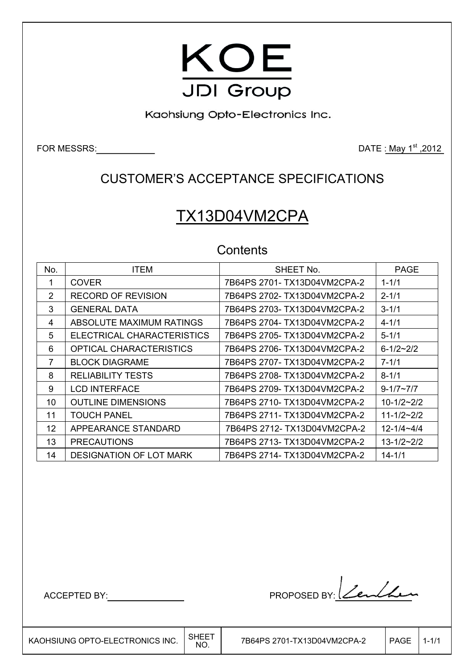

Kaohsiung Opto-Electronics Inc.

FOR MESSRS: 2012

# CUSTOMER'S ACCEPTANCE SPECIFICATIONS

# TX13D04VM2CPA

# **Contents**

| No. | <b>ITEM</b>                    | SHEET No.                    | <b>PAGE</b>         |
|-----|--------------------------------|------------------------------|---------------------|
| 1   | <b>COVER</b>                   | 7B64PS 2701- TX13D04VM2CPA-2 | $1 - 1/1$           |
| 2   | RECORD OF REVISION             | 7B64PS 2702- TX13D04VM2CPA-2 | $2 - 1/1$           |
| 3   | <b>GENERAL DATA</b>            | 7B64PS 2703- TX13D04VM2CPA-2 | $3 - 1/1$           |
| 4   | ABSOLUTE MAXIMUM RATINGS       | 7B64PS 2704- TX13D04VM2CPA-2 | $4 - 1/1$           |
| 5   | ELECTRICAL CHARACTERISTICS     | 7B64PS 2705- TX13D04VM2CPA-2 | $5 - 1/1$           |
| 6   | OPTICAL CHARACTERISTICS        | 7B64PS 2706- TX13D04VM2CPA-2 | $6 - 1/2 - 2/2$     |
| 7   | <b>BLOCK DIAGRAME</b>          | 7B64PS 2707- TX13D04VM2CPA-2 | $7 - 1/1$           |
| 8   | <b>RELIABILITY TESTS</b>       | 7B64PS 2708- TX13D04VM2CPA-2 | $8 - 1/1$           |
| 9   | <b>LCD INTERFACE</b>           | 7B64PS 2709- TX13D04VM2CPA-2 | $9 - 1/7 \sim 7/7$  |
| 10  | <b>OUTLINE DIMENSIONS</b>      | 7B64PS 2710- TX13D04VM2CPA-2 | $10 - 1/2 - 2/2$    |
| 11  | <b>TOUCH PANEL</b>             | 7B64PS 2711- TX13D04VM2CPA-2 | $11 - 1/2 \sim 2/2$ |
| 12  | APPEARANCE STANDARD            | 7B64PS 2712- TX13D04VM2CPA-2 | $12 - 1/4 - 4/4$    |
| 13  | <b>PRECAUTIONS</b>             | 7B64PS 2713- TX13D04VM2CPA-2 | $13 - 1/2 \sim 2/2$ |
| 14  | <b>DESIGNATION OF LOT MARK</b> | 7B64PS 2714- TX13D04VM2CPA-2 | $14 - 1/1$          |

ACCEPTED BY: MODEL BY: Lender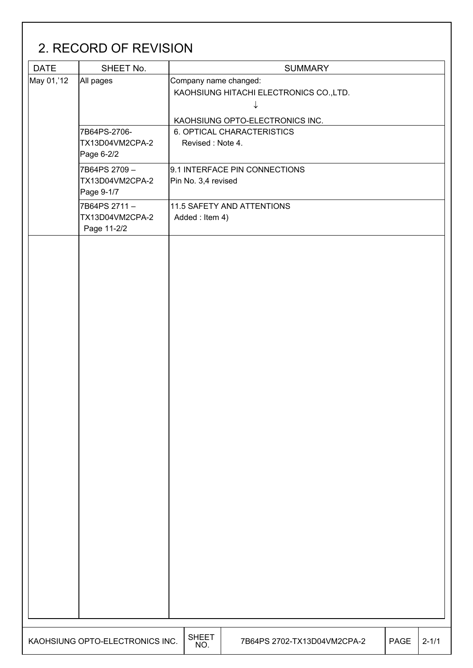# 2. RECORD OF REVISION

| <b>DATE</b> | SHEET No.                       |                       | <b>SUMMARY</b>                          |             |           |  |  |  |  |  |
|-------------|---------------------------------|-----------------------|-----------------------------------------|-------------|-----------|--|--|--|--|--|
| May 01,'12  | All pages                       | Company name changed: |                                         |             |           |  |  |  |  |  |
|             |                                 |                       | KAOHSIUNG HITACHI ELECTRONICS CO., LTD. |             |           |  |  |  |  |  |
|             |                                 |                       | ↓                                       |             |           |  |  |  |  |  |
|             |                                 |                       | KAOHSIUNG OPTO-ELECTRONICS INC.         |             |           |  |  |  |  |  |
|             | 7B64PS-2706-                    |                       | 6. OPTICAL CHARACTERISTICS              |             |           |  |  |  |  |  |
|             | TX13D04VM2CPA-2                 | Revised: Note 4.      |                                         |             |           |  |  |  |  |  |
|             | Page 6-2/2                      |                       |                                         |             |           |  |  |  |  |  |
|             | 7B64PS 2709-                    |                       | 9.1 INTERFACE PIN CONNECTIONS           |             |           |  |  |  |  |  |
|             | TX13D04VM2CPA-2                 | Pin No. 3,4 revised   |                                         |             |           |  |  |  |  |  |
|             | Page 9-1/7                      |                       |                                         |             |           |  |  |  |  |  |
|             | 7B64PS 2711-                    |                       | 11.5 SAFETY AND ATTENTIONS              |             |           |  |  |  |  |  |
|             | TX13D04VM2CPA-2                 | Added: Item 4)        |                                         |             |           |  |  |  |  |  |
|             | Page 11-2/2                     |                       |                                         |             |           |  |  |  |  |  |
|             |                                 |                       |                                         |             |           |  |  |  |  |  |
|             |                                 |                       |                                         |             |           |  |  |  |  |  |
|             |                                 |                       |                                         |             |           |  |  |  |  |  |
|             |                                 |                       |                                         |             |           |  |  |  |  |  |
|             |                                 |                       |                                         |             |           |  |  |  |  |  |
|             |                                 |                       |                                         |             |           |  |  |  |  |  |
|             |                                 |                       |                                         |             |           |  |  |  |  |  |
|             |                                 |                       |                                         |             |           |  |  |  |  |  |
|             |                                 |                       |                                         |             |           |  |  |  |  |  |
|             |                                 |                       |                                         |             |           |  |  |  |  |  |
|             |                                 |                       |                                         |             |           |  |  |  |  |  |
|             |                                 |                       |                                         |             |           |  |  |  |  |  |
|             |                                 |                       |                                         |             |           |  |  |  |  |  |
|             |                                 |                       |                                         |             |           |  |  |  |  |  |
|             |                                 |                       |                                         |             |           |  |  |  |  |  |
|             |                                 |                       |                                         |             |           |  |  |  |  |  |
|             |                                 |                       |                                         |             |           |  |  |  |  |  |
|             |                                 |                       |                                         |             |           |  |  |  |  |  |
|             |                                 |                       |                                         |             |           |  |  |  |  |  |
|             |                                 |                       |                                         |             |           |  |  |  |  |  |
|             |                                 |                       |                                         |             |           |  |  |  |  |  |
|             |                                 |                       |                                         |             |           |  |  |  |  |  |
|             |                                 |                       |                                         |             |           |  |  |  |  |  |
|             |                                 |                       |                                         |             |           |  |  |  |  |  |
|             |                                 |                       |                                         |             |           |  |  |  |  |  |
|             |                                 |                       |                                         |             |           |  |  |  |  |  |
|             |                                 |                       |                                         |             |           |  |  |  |  |  |
|             |                                 |                       |                                         |             |           |  |  |  |  |  |
|             |                                 |                       |                                         |             |           |  |  |  |  |  |
|             |                                 |                       |                                         |             |           |  |  |  |  |  |
|             |                                 |                       |                                         |             |           |  |  |  |  |  |
|             |                                 |                       |                                         |             |           |  |  |  |  |  |
|             |                                 |                       |                                         |             |           |  |  |  |  |  |
|             | KAOHSIUNG OPTO-ELECTRONICS INC. | <b>SHEET</b><br>NO.   | 7B64PS 2702-TX13D04VM2CPA-2             | <b>PAGE</b> | $2 - 1/1$ |  |  |  |  |  |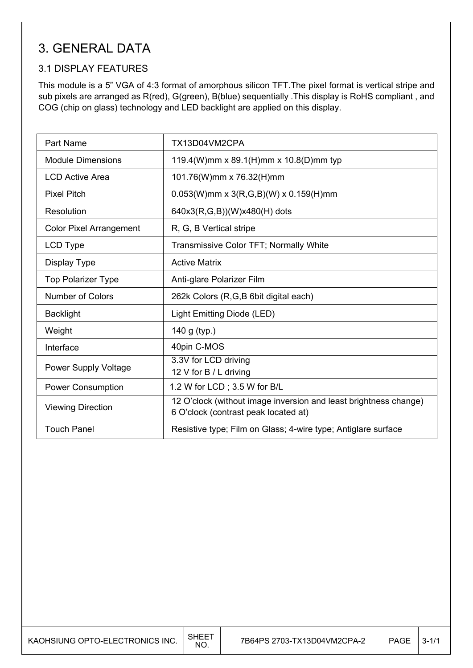# 3. GENERAL DATA

## 3.1 DISPLAY FEATURES

This module is a 5" VGA of 4:3 format of amorphous silicon TFT.The pixel format is vertical stripe and sub pixels are arranged as R(red), G(green), B(blue) sequentially .This display is RoHS compliant , and COG (chip on glass) technology and LED backlight are applied on this display.

| <b>Part Name</b>               | TX13D04VM2CPA                                                                                            |
|--------------------------------|----------------------------------------------------------------------------------------------------------|
| <b>Module Dimensions</b>       | 119.4(W)mm x 89.1(H)mm x 10.8(D)mm typ                                                                   |
| <b>LCD Active Area</b>         | 101.76(W)mm x 76.32(H)mm                                                                                 |
| <b>Pixel Pitch</b>             | $0.053(W)$ mm x 3(R,G,B)(W) x 0.159(H)mm                                                                 |
| Resolution                     | 640x3(R,G,B))(W)x480(H) dots                                                                             |
| <b>Color Pixel Arrangement</b> | R, G, B Vertical stripe                                                                                  |
| LCD Type                       | Transmissive Color TFT; Normally White                                                                   |
| Display Type                   | <b>Active Matrix</b>                                                                                     |
| <b>Top Polarizer Type</b>      | Anti-glare Polarizer Film                                                                                |
| <b>Number of Colors</b>        | 262k Colors (R,G,B 6bit digital each)                                                                    |
| <b>Backlight</b>               | Light Emitting Diode (LED)                                                                               |
| Weight                         | 140 g (typ.)                                                                                             |
| Interface                      | 40pin C-MOS                                                                                              |
| Power Supply Voltage           | 3.3V for LCD driving<br>12 V for B / L driving                                                           |
| <b>Power Consumption</b>       | 1.2 W for LCD; 3.5 W for B/L                                                                             |
| <b>Viewing Direction</b>       | 12 O'clock (without image inversion and least brightness change)<br>6 O'clock (contrast peak located at) |
| <b>Touch Panel</b>             | Resistive type; Film on Glass; 4-wire type; Antiglare surface                                            |

| KAOHSIUNG OPTO-ELECTRONICS INC. | SHEE<br>NO. | 7B64PS 2703-TX13D04VM2CPA-2 | PAGE | $3 - 1/1$ |
|---------------------------------|-------------|-----------------------------|------|-----------|
|---------------------------------|-------------|-----------------------------|------|-----------|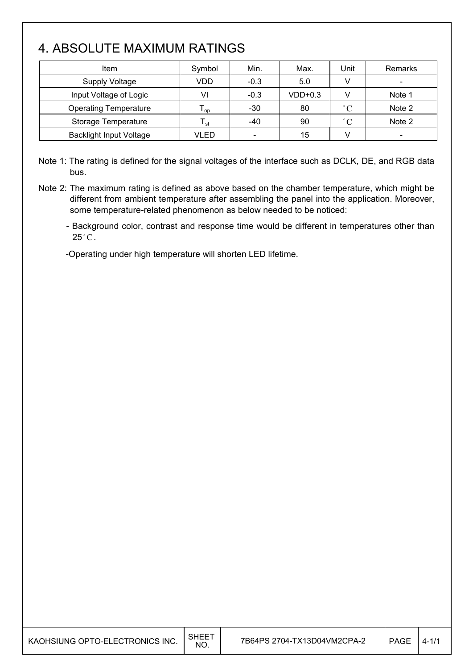# 4. ABSOLUTE MAXIMUM RATINGS

| <b>Item</b>                    | Symbol          | Min.                     | Max.      | Unit         | Remarks                      |
|--------------------------------|-----------------|--------------------------|-----------|--------------|------------------------------|
| <b>Supply Voltage</b>          | VDD             | $-0.3$                   | 5.0       |              | $\qquad \qquad \blacksquare$ |
| Input Voltage of Logic         | VI              | $-0.3$                   | $VDD+0.3$ |              | Note 1                       |
| <b>Operating Temperature</b>   | l <sub>OD</sub> | $-30$                    | 80        | $\degree$ C  | Note 2                       |
| Storage Temperature            | l <sub>st</sub> | $-40$                    | 90        | $^{\circ}$ C | Note 2                       |
| <b>Backlight Input Voltage</b> | VLED            | $\overline{\phantom{a}}$ | 15        |              | $\overline{\phantom{0}}$     |

Note 1: The rating is defined for the signal voltages of the interface such as DCLK, DE, and RGB data bus.

Note 2: The maximum rating is defined as above based on the chamber temperature, which might be different from ambient temperature after assembling the panel into the application. Moreover, some temperature-related phenomenon as below needed to be noticed:

- Background color, contrast and response time would be different in temperatures other than  $25^{\circ}$ C.

-Operating under high temperature will shorten LED lifetime.

| KAOHSIUNG OPTO-ELECTRONICS INC. | , SHEET<br><b>NO</b> | 7B64PS 2704-TX13D04VM2CPA-2 | <b>PAGE</b> | $4 - 1/1$ |
|---------------------------------|----------------------|-----------------------------|-------------|-----------|
|---------------------------------|----------------------|-----------------------------|-------------|-----------|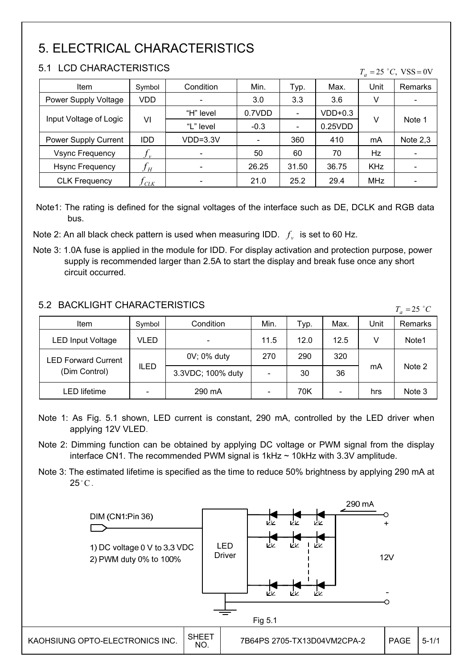# 5. ELECTRICAL CHARACTERISTICS

## 5.1 LCD CHARACTERISTICS

| 3. L<br>LUD UNARAUTERISTIUS<br>$T_a = 25 °C$ , VSS = 0V |                            |            |        |                          |         |            |                          |
|---------------------------------------------------------|----------------------------|------------|--------|--------------------------|---------|------------|--------------------------|
| <b>Item</b>                                             | Symbol                     | Condition  | Min.   | Typ.                     | Max.    | Unit       | <b>Remarks</b>           |
| Power Supply Voltage                                    | VDD                        |            | 3.0    | 3.3                      | 3.6     | v          | $\overline{\phantom{a}}$ |
|                                                         | VI                         | "H" level  | 0.7VDD | $\overline{\phantom{a}}$ | VDD+0.3 |            | Note 1                   |
| Input Voltage of Logic                                  |                            | "L" level  | $-0.3$ | $\overline{\phantom{a}}$ | 0.25VDD | V          |                          |
| Power Supply Current                                    | <b>IDD</b>                 | $VDD=3.3V$ |        | 360                      | 410     | mA         | Note $2,3$               |
| <b>Vsync Frequency</b>                                  | $J_{v}$                    |            | 50     | 60                       | 70      | <b>Hz</b>  |                          |
| <b>Hsync Frequency</b>                                  | $f_{\scriptscriptstyle H}$ |            | 26.25  | 31.50                    | 36.75   | <b>KHz</b> |                          |
| <b>CLK Frequency</b>                                    | $J_{C L K}$                |            | 21.0   | 25.2                     | 29.4    | MHz        |                          |

- Note1: The rating is defined for the signal voltages of the interface such as DE, DCLK and RGB data bus.
- Note 2: An all black check pattern is used when measuring IDD.  $f<sub>v</sub>$  is set to 60 Hz.
- Note 3: 1.0A fuse is applied in the module for IDD. For display activation and protection purpose, power supply is recommended larger than 2.5A to start the display and break fuse once any short circuit occurred.

## 5.2 BACKLIGHT CHARACTERISTICS

| <u>J.Z DAUNLIUTI UTANAUTENIJTIUJ</u><br>$T_a = 25$ °C |                              |                   |      |      |                          |      |         |
|-------------------------------------------------------|------------------------------|-------------------|------|------|--------------------------|------|---------|
| Item                                                  | Symbol                       | Condition         | Min. | Typ. | Max.                     | Unit | Remarks |
| <b>LED Input Voltage</b>                              | VLED                         |                   | 11.5 | 12.0 | 12.5                     | V    | Note1   |
| <b>LED Forward Current</b>                            | <b>ILED</b>                  | 0V; 0% duty       | 270  | 290  | 320                      |      |         |
| (Dim Control)                                         |                              | 3.3VDC; 100% duty |      | 30   | 36                       | mA   | Note 2  |
| <b>LED lifetime</b>                                   | $\qquad \qquad \blacksquare$ | 290 mA            |      | 70K  | $\overline{\phantom{a}}$ | hrs  | Note 3  |

- Note 1: As Fig. 5.1 shown, LED current is constant, 290 mA, controlled by the LED driver when applying 12V VLED.
- Note 2: Dimming function can be obtained by applying DC voltage or PWM signal from the display interface CN1. The recommended PWM signal is  $1kHz \sim 10kHz$  with 3.3V amplitude.
- Note 3: The estimated lifetime is specified as the time to reduce 50% brightness by applying 290 mA at  $25^{\circ}$ C.

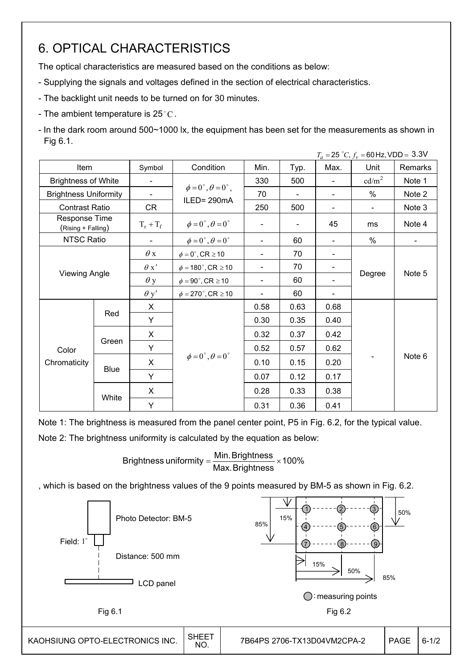# 6. OPTICAL CHARACTERISTICS

The optical characteristics are measured based on the conditions as below:

- Supplying the signals and voltages defined in the section of electrical characteristics.
- The backlight unit needs to be turned on for 30 minutes.
- The ambient temperature is  $25^{\circ}$ C.

- In the dark room around 500~1000 lx, the equipment has been set for the measurements as shown in Fig 6.1.

|                                     |                      |                |                                         |                          |                |                          | $T_a = 25 °C, f_v = 60 Hz, VDD = 3.3 V$ |                          |
|-------------------------------------|----------------------|----------------|-----------------------------------------|--------------------------|----------------|--------------------------|-----------------------------------------|--------------------------|
| Item                                |                      | Symbol         | Condition                               | Min.                     | Typ.           | Max.                     | Unit                                    | Remarks                  |
| <b>Brightness of White</b>          |                      | $\blacksquare$ |                                         | 330                      | 500            |                          | cd/m <sup>2</sup>                       | Note 1                   |
| <b>Brightness Uniformity</b>        |                      | $\blacksquare$ | $\phi = 0^{\circ}, \theta = 0^{\circ},$ | 70                       |                |                          | %                                       | Note 2                   |
| <b>Contrast Ratio</b>               |                      | CR             | ILED=290mA                              | 250                      | 500            | $\overline{\phantom{a}}$ | $\blacksquare$                          | Note 3                   |
| Response Time<br>(Rising + Falling) |                      | $T_r + T_f$    | $\phi = 0^{\circ}, \theta = 0^{\circ}$  |                          | $\blacksquare$ | 45                       | ms                                      | Note 4                   |
| <b>NTSC Ratio</b>                   |                      |                | $\phi = 0^{\circ}, \theta = 0^{\circ}$  | $\overline{\phantom{a}}$ | 60             |                          | $\%$                                    | $\overline{\phantom{a}}$ |
|                                     |                      | $\theta$ x     | $\phi = 0^\circ$ , CR $\geq 10$         | $\overline{\phantom{a}}$ | 70             |                          |                                         |                          |
|                                     | <b>Viewing Angle</b> |                | $\phi = 180^{\circ}$ , CR $\geq 10$     | $\overline{\phantom{a}}$ | 70             |                          |                                         | Note 5                   |
|                                     |                      |                | $\phi = 90^\circ$ , CR $\geq 10$        |                          | 60             |                          | Degree                                  |                          |
|                                     |                      | $\theta$ y'    | $\phi = 270^\circ$ , CR $\geq 10$       |                          | 60             |                          |                                         |                          |
|                                     |                      | X              |                                         | 0.58                     | 0.63           | 0.68                     |                                         |                          |
|                                     | Red                  | Y              |                                         | 0.30                     | 0.35           | 0.40                     |                                         |                          |
|                                     |                      | X              |                                         | 0.32                     | 0.37           | 0.42                     |                                         |                          |
| Color                               | Green                | Y              |                                         | 0.52                     | 0.57           | 0.62                     |                                         |                          |
| Chromaticity                        |                      | X              | $\phi = 0^\circ$ , $\theta = 0^\circ$   | 0.10                     | 0.15           | 0.20                     |                                         | Note 6                   |
|                                     | <b>Blue</b>          | Y              |                                         | 0.07                     | 0.12           | 0.17                     |                                         |                          |
|                                     |                      | X              |                                         | 0.28                     | 0.33           | 0.38                     |                                         |                          |
|                                     | White                | Υ              |                                         | 0.31                     | 0.36           | 0.41                     |                                         |                          |

Note 1: The brightness is measured from the panel center point, P5 in Fig. 6.2, for the typical value.

Note 2: The brightness uniformity is calculated by the equation as below:

Brightness uniformity  $=\frac{1}{100}$  and  $\frac{1}{100}$  x 100% Max.Brightness Brightness uniformity =  $\frac{\text{Min.~Brightness}}{\text{max.~S}}$ 

, which is based on the brightness values of the 9 points measured by BM-5 as shown in Fig. 6.2.

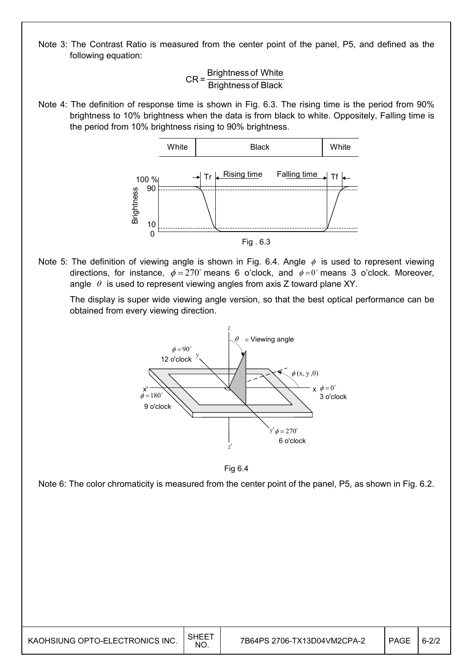Note 3: The Contrast Ratio is measured from the center point of the panel, P5, and defined as the following equation:

 $CR = \frac{Brightness of White}{Brightness of Black}$ 

Note 4: The definition of response time is shown in Fig. 6.3. The rising time is the period from 90% brightness to 10% brightness when the data is from black to white. Oppositely, Falling time is the period from 10% brightness rising to 90% brightness.



Note 5: The definition of viewing angle is shown in Fig. 6.4. Angle  $\phi$  is used to represent viewing directions, for instance,  $\phi = 270^\circ$  means 6 o'clock, and  $\phi = 0^\circ$  means 3 o'clock. Moreover, angle  $\theta$  is used to represent viewing angles from axis Z toward plane XY.

 The display is super wide viewing angle version, so that the best optical performance can be obtained from every viewing direction.



Fig 6.4

Note 6: The color chromaticity is measured from the center point of the panel, P5, as shown in Fig. 6.2.

| KAOHSIUNG OPTO-ELECTRONICS INC. | SHEE <sup>-</sup><br>NO. | 7B64PS 2706-TX13D04VM2CPA-2 | PAGE | $6 - 2/2$ |
|---------------------------------|--------------------------|-----------------------------|------|-----------|
|---------------------------------|--------------------------|-----------------------------|------|-----------|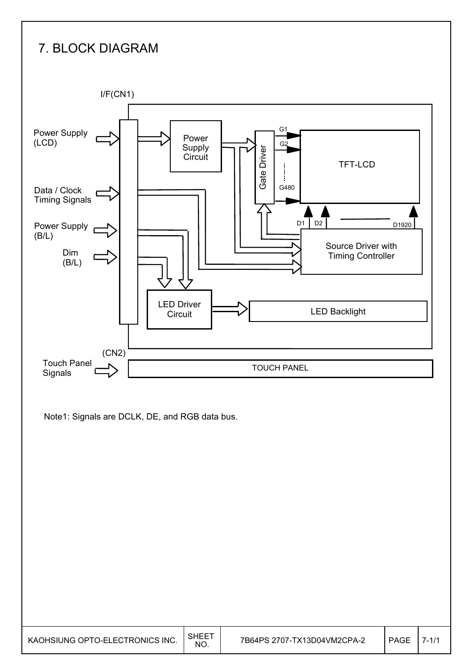# 7. BLOCK DIAGRAM

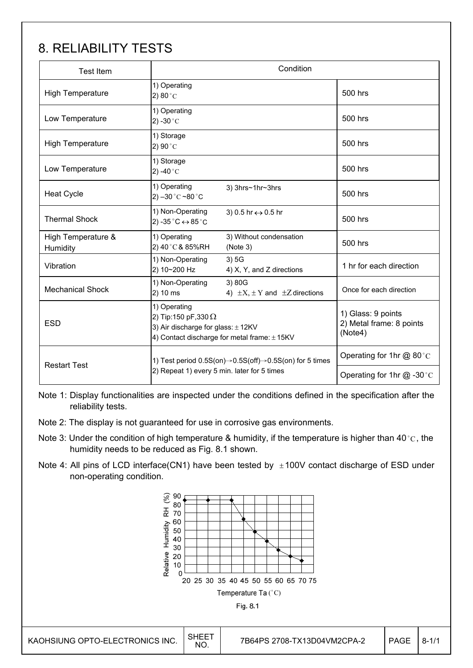# 8. RELIABILITY TESTS

| <b>Test Item</b>               | Condition                                                                                                                                |                                                       |                                                           |  |  |
|--------------------------------|------------------------------------------------------------------------------------------------------------------------------------------|-------------------------------------------------------|-----------------------------------------------------------|--|--|
| <b>High Temperature</b>        | 1) Operating<br>$2)80^{\circ}$ C                                                                                                         |                                                       | 500 hrs                                                   |  |  |
| Low Temperature                | 1) Operating<br>2) -30 $^{\circ}$ C                                                                                                      |                                                       | 500 hrs                                                   |  |  |
| <b>High Temperature</b>        | 1) Storage<br>2) 90 $^{\circ}$ C                                                                                                         |                                                       | 500 hrs                                                   |  |  |
| Low Temperature                | 1) Storage<br>2) -40 $^{\circ}$ C                                                                                                        |                                                       | 500 hrs                                                   |  |  |
| <b>Heat Cycle</b>              | 1) Operating<br>2) $-30^{\circ}$ C ~80 $^{\circ}$ C                                                                                      | 3) 3hrs~1hr~3hrs                                      | 500 hrs                                                   |  |  |
| <b>Thermal Shock</b>           | 1) Non-Operating<br>2) -35 $^{\circ}$ C $\leftrightarrow$ 85 $^{\circ}$ C                                                                | 3) 0.5 hr ↔ 0.5 hr                                    | 500 hrs                                                   |  |  |
| High Temperature &<br>Humidity | 1) Operating<br>2) 40°C& 85%RH                                                                                                           | 3) Without condensation<br>(Note 3)                   | 500 hrs                                                   |  |  |
| Vibration                      | 1) Non-Operating<br>2) 10~200 Hz                                                                                                         | 3)5G<br>4) X, Y, and Z directions                     | 1 hr for each direction                                   |  |  |
| <b>Mechanical Shock</b>        | 1) Non-Operating<br>2) 10 ms                                                                                                             | 3) 80G<br>4) $\pm X$ , $\pm Y$ and $\pm Z$ directions | Once for each direction                                   |  |  |
| <b>ESD</b>                     | 1) Operating<br>2) Tip:150 pF,330 $\Omega$<br>3) Air discharge for glass: $\pm$ 12KV<br>4) Contact discharge for metal frame: $\pm$ 15KV |                                                       | 1) Glass: 9 points<br>2) Metal frame: 8 points<br>(Note4) |  |  |
| <b>Restart Test</b>            | 1) Test period $0.5S(0n) \rightarrow 0.5S(0ff) \rightarrow 0.5S(0n)$ for 5 times                                                         | Operating for 1hr @ 80 °C                             |                                                           |  |  |
|                                | 2) Repeat 1) every 5 min. later for 5 times                                                                                              | Operating for 1hr $@ -30$ °C                          |                                                           |  |  |

Note 1: Display functionalities are inspected under the conditions defined in the specification after the reliability tests.

- Note 2: The display is not guaranteed for use in corrosive gas environments.
- Note 3: Under the condition of high temperature & humidity, if the temperature is higher than 40 °C, the humidity needs to be reduced as Fig. 8.1 shown.
- Note 4: All pins of LCD interface(CN1) have been tested by  $\pm 100V$  contact discharge of ESD under non-operating condition.

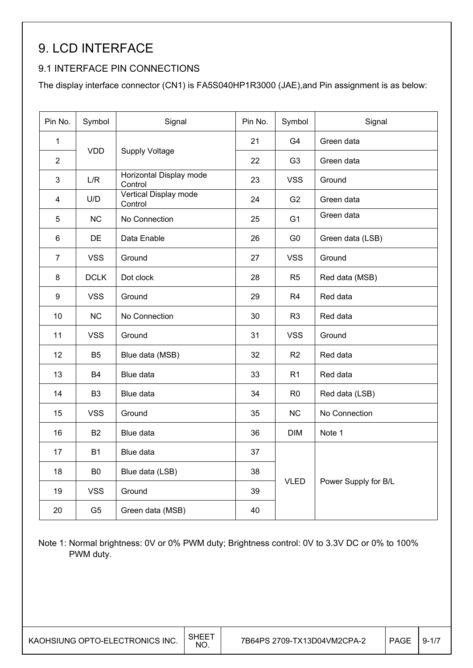# 9. LCD INTERFACE

## 9.1 INTERFACE PIN CONNECTIONS

The display interface connector (CN1) is FA5S040HP1R3000 (JAE),and Pin assignment is as below:

| Pin No.         | Symbol         | Signal                             | Pin No. | Symbol         | Signal               |  |
|-----------------|----------------|------------------------------------|---------|----------------|----------------------|--|
| $\mathbf{1}$    |                |                                    | 21      | G <sub>4</sub> | Green data           |  |
| $\overline{2}$  | <b>VDD</b>     | <b>Supply Voltage</b>              | 22      | G <sub>3</sub> | Green data           |  |
| $\mathfrak{S}$  | L/R            | Horizontal Display mode<br>Control | 23      | <b>VSS</b>     | Ground               |  |
| $\overline{4}$  | U/D            | Vertical Display mode<br>Control   | 24      | G <sub>2</sub> | Green data           |  |
| 5               | NC             | No Connection                      | 25      | G <sub>1</sub> | Green data           |  |
| $6\phantom{1}$  | DE             | Data Enable                        | 26      | G <sub>0</sub> | Green data (LSB)     |  |
| $\overline{7}$  | <b>VSS</b>     | Ground                             | 27      | <b>VSS</b>     | Ground               |  |
| 8               | <b>DCLK</b>    | Dot clock                          | 28      | R <sub>5</sub> | Red data (MSB)       |  |
| 9               | <b>VSS</b>     | Ground                             | 29      | R <sub>4</sub> | Red data             |  |
| 10 <sup>1</sup> | NC             | No Connection                      | 30      | R <sub>3</sub> | Red data             |  |
| 11              | <b>VSS</b>     | Ground                             | 31      | <b>VSS</b>     | Ground               |  |
| 12              | B <sub>5</sub> | Blue data (MSB)                    | 32      | R <sub>2</sub> | Red data             |  |
| 13              | <b>B4</b>      | Blue data                          | 33      | R <sub>1</sub> | Red data             |  |
| 14              | B <sub>3</sub> | Blue data                          | 34      | R <sub>0</sub> | Red data (LSB)       |  |
| 15              | <b>VSS</b>     | Ground                             | 35      | <b>NC</b>      | No Connection        |  |
| 16              | B <sub>2</sub> | Blue data                          | 36      | <b>DIM</b>     | Note 1               |  |
| 17              | <b>B1</b>      | Blue data                          | 37      |                |                      |  |
| 18              | B <sub>0</sub> | Blue data (LSB)                    | 38      |                |                      |  |
| 19              | <b>VSS</b>     | Ground                             | 39      | <b>VLED</b>    | Power Supply for B/L |  |
| 20              | G <sub>5</sub> | Green data (MSB)                   | 40      |                |                      |  |

Note 1: Normal brightness: 0V or 0% PWM duty; Brightness control: 0V to 3.3V DC or 0% to 100% PWM duty.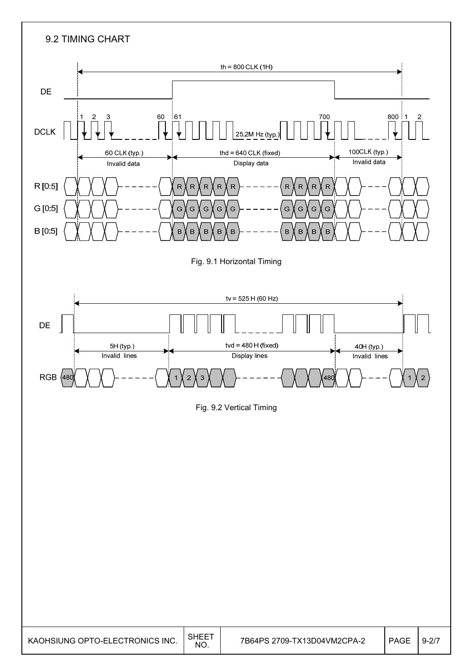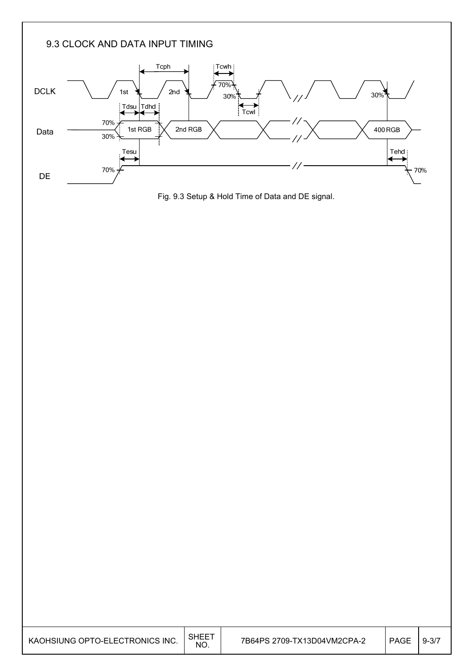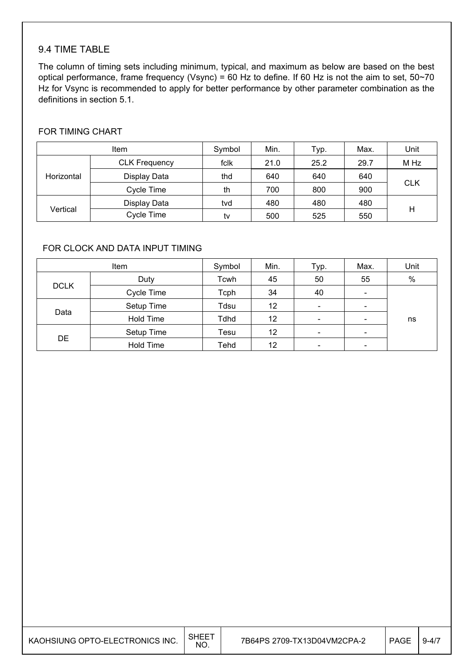## 9.4 TIME TABLE

The column of timing sets including minimum, typical, and maximum as below are based on the best optical performance, frame frequency (Vsync) = 60 Hz to define. If 60 Hz is not the aim to set,  $50~70$ Hz for Vsync is recommended to apply for better performance by other parameter combination as the definitions in section 5.1.

### FOR TIMING CHART

| <b>Item</b> |                      | Symbol | Min. | Typ. | Max. | Unit       |
|-------------|----------------------|--------|------|------|------|------------|
|             | <b>CLK Frequency</b> | fclk   | 21.0 | 25.2 | 29.7 | M Hz       |
| Horizontal  | Display Data         | thd    | 640  | 640  | 640  |            |
|             | Cycle Time           | th     | 700  | 800  | 900  | <b>CLK</b> |
|             | Display Data         | tvd    | 480  | 480  | 480  |            |
| Vertical    | Cycle Time           | tv     | 500  | 525  | 550  | H          |

### FOR CLOCK AND DATA INPUT TIMING

| <b>Item</b> |                  | Symbol | Min. | Typ.                     | Max.                     | Unit |
|-------------|------------------|--------|------|--------------------------|--------------------------|------|
|             | Duty             | Tcwh   | 45   | 50                       | 55                       | $\%$ |
| <b>DCLK</b> | Cycle Time       | Tcph   | 34   | 40                       | $\overline{\phantom{a}}$ |      |
|             | Setup Time       | Tdsu   | 12   | $\overline{\phantom{a}}$ | $\overline{\phantom{a}}$ |      |
| Data        | <b>Hold Time</b> | Tdhd   | 12   | $\overline{\phantom{a}}$ | $\overline{\phantom{0}}$ | ns   |
|             | Setup Time       | Tesu   | 12   | $\overline{\phantom{a}}$ | $\overline{\phantom{a}}$ |      |
| DE          | <b>Hold Time</b> | Tehd   | 12   | $\overline{\phantom{a}}$ | $\overline{\phantom{0}}$ |      |

| KAOHSIUNG OPTO-ELECTRONICS INC. | $SHEE^-$<br><b>NO</b> | 7B64PS 2709-TX13D04VM2CPA-2 | PAGE | $.9 - 47$ |
|---------------------------------|-----------------------|-----------------------------|------|-----------|
|---------------------------------|-----------------------|-----------------------------|------|-----------|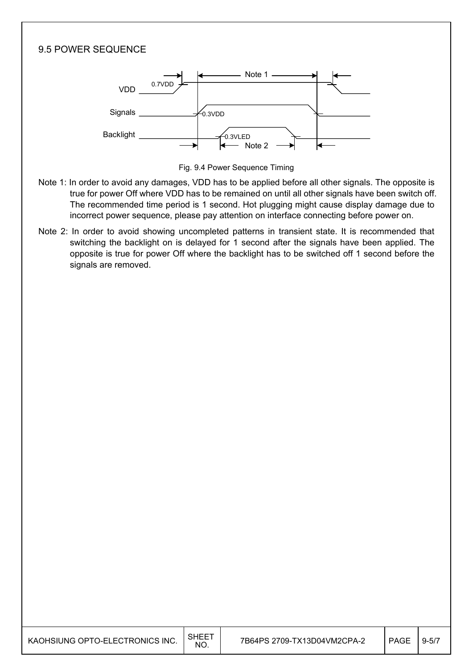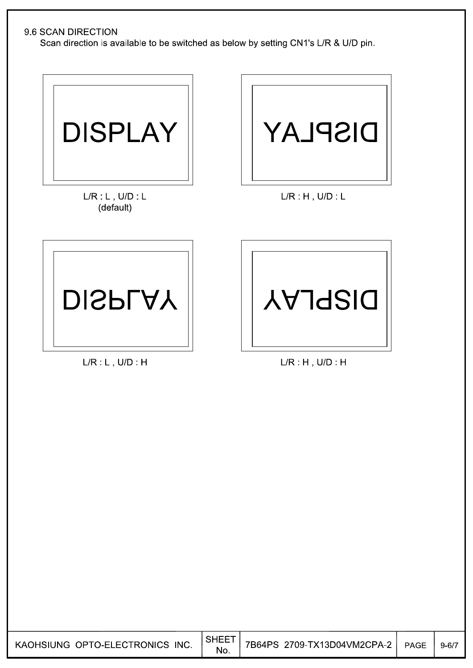### 9.6 SCAN DIRECTION

Scan direction is available to be switched as below by setting CN1's L/R & U/D pin.



 $L/R: L$ ,  $U/D: L$ (default)



 $L/R$   $H$ ,  $U/D$   $L$ 



 $L/R$   $L$ ,  $U/D$   $H$ 



 $L/R$  H,  $U/D$  H

| KAOHSIUNG OPTO-ELECTRONICS INC. | <b>SHEET</b><br>No. | 7B64PS 2709-TX13D04VM2CPA-2 | PAGE | $9 - 6/7$ |
|---------------------------------|---------------------|-----------------------------|------|-----------|
|---------------------------------|---------------------|-----------------------------|------|-----------|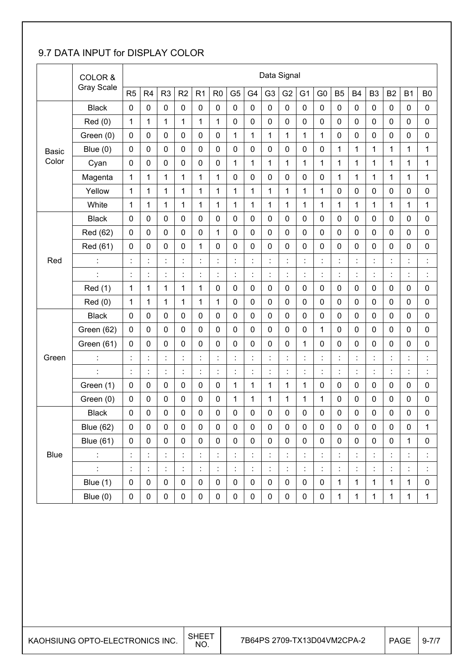## 9.7 DATA INPUT for DISPLAY COLOR

|              | COLOR &           |                | Data Signal          |                  |                      |                |                |                |                |                |                |                |                |                      |                      |                      |                |                      |                                  |
|--------------|-------------------|----------------|----------------------|------------------|----------------------|----------------|----------------|----------------|----------------|----------------|----------------|----------------|----------------|----------------------|----------------------|----------------------|----------------|----------------------|----------------------------------|
|              | <b>Gray Scale</b> | R <sub>5</sub> | R <sub>4</sub>       | R <sub>3</sub>   | R <sub>2</sub>       | R1             | R <sub>0</sub> | G <sub>5</sub> | G4             | G <sub>3</sub> | G <sub>2</sub> | G <sub>1</sub> | G <sub>0</sub> | <b>B5</b>            | <b>B4</b>            | B <sub>3</sub>       | <b>B2</b>      | <b>B1</b>            | B <sub>0</sub>                   |
|              | <b>Black</b>      | $\mathbf 0$    | 0                    | $\mathbf 0$      | $\mathbf 0$          | $\mathbf 0$    | $\mathbf 0$    | 0              | $\mathbf 0$    | $\mathbf 0$    | $\mathbf 0$    | $\mathbf 0$    | $\mathbf 0$    | $\mathbf 0$          | $\mathbf 0$          | $\mathbf 0$          | $\mathbf 0$    | 0                    | $\mathbf 0$                      |
|              | Red(0)            | 1              | 1                    | 1                | 1                    | $\mathbf 1$    | 1              | 0              | 0              | $\mathbf 0$    | $\mathbf 0$    | $\mathbf 0$    | $\mathbf 0$    | $\pmb{0}$            | 0                    | 0                    | 0              | $\mathbf 0$          | $\mathbf 0$                      |
|              | Green (0)         | 0              | 0                    | $\mathbf 0$      | 0                    | $\pmb{0}$      | $\pmb{0}$      | $\mathbf{1}$   | 1              | 1              | 1              | 1              | 1              | $\pmb{0}$            | 0                    | 0                    | 0              | $\mathbf 0$          | $\pmb{0}$                        |
| <b>Basic</b> | Blue $(0)$        | $\mathbf 0$    | 0                    | $\pmb{0}$        | $\mathbf 0$          | $\mathbf 0$    | $\mathbf 0$    | 0              | 0              | $\mathbf 0$    | $\mathbf 0$    | $\mathbf 0$    | $\mathbf 0$    | $\mathbf{1}$         | 1                    | 1                    | 1              | $\mathbf{1}$         | 1                                |
| Color        | Cyan              | $\mathbf 0$    | 0                    | $\mathbf 0$      | $\boldsymbol{0}$     | $\mathbf 0$    | $\mathbf 0$    | $\mathbf{1}$   | $\mathbf 1$    | 1              | 1              | 1              | $\mathbf{1}$   | $\mathbf{1}$         | 1                    | 1                    | 1              | 1                    | $\mathbf{1}$                     |
|              | Magenta           | 1              | 1                    | $\mathbf{1}$     | $\mathbf{1}$         | $\mathbf{1}$   | $\mathbf{1}$   | 0              | 0              | $\mathbf 0$    | $\mathbf 0$    | $\mathbf 0$    | $\mathbf 0$    | 1                    | 1                    | 1                    | 1              | 1                    | 1                                |
|              | Yellow            | 1              | 1                    | 1                | 1                    | $\mathbf{1}$   | $\mathbf{1}$   | $\mathbf 1$    | 1              | 1              | 1              | 1              | 1              | $\pmb{0}$            | 0                    | $\mathbf 0$          | $\mathbf 0$    | $\mathbf 0$          | $\mathbf 0$                      |
|              | White             | 1              | 1                    | 1                | $\mathbf{1}$         | $\mathbf{1}$   | $\mathbf{1}$   | 1              | 1              | 1              | 1              | 1              | 1              | $\mathbf{1}$         | 1                    | 1                    | $\mathbf{1}$   | $\mathbf{1}$         | $\mathbf 1$                      |
|              | <b>Black</b>      | $\mathbf 0$    | 0                    | $\boldsymbol{0}$ | 0                    | $\pmb{0}$      | $\pmb{0}$      | $\pmb{0}$      | $\mathbf 0$    | $\mathbf 0$    | $\pmb{0}$      | $\mathbf 0$    | $\mathbf 0$    | $\pmb{0}$            | 0                    | $\pmb{0}$            | $\pmb{0}$      | $\mathbf 0$          | $\pmb{0}$                        |
|              | Red (62)          | $\mathbf 0$    | 0                    | $\mathbf 0$      | $\mathbf 0$          | $\mathbf 0$    | $\mathbf{1}$   | 0              | $\mathbf 0$    | $\mathbf 0$    | $\mathbf 0$    | $\mathbf 0$    | $\mathbf 0$    | $\mathbf 0$          | $\mathbf 0$          | $\mathbf 0$          | $\mathbf 0$    | $\mathbf 0$          | $\mathbf 0$                      |
|              | Red (61)          | $\mathbf 0$    | 0                    | $\mathbf 0$      | $\mathbf 0$          | $\mathbf{1}$   | $\mathbf 0$    | 0              | 0              | $\mathbf 0$    | $\mathbf 0$    | $\mathbf 0$    | $\mathbf 0$    | $\mathbf 0$          | 0                    | 0                    | $\mathbf 0$    | $\mathbf 0$          | $\mathbf 0$                      |
| Red          |                   | Ì.             | Ì.                   | ł,               | $\ddot{\cdot}$       | $\ddot{\cdot}$ | t              | t.             | $\ddot{\cdot}$ | $\ddot{\cdot}$ | t              | Ì.             | t              | ł,                   | ċ                    | $\ddot{\phantom{a}}$ | Ì.             | $\ddot{\cdot}$       |                                  |
|              | t                 | $\ddot{\cdot}$ | t,                   | t,               | $\ddot{\phantom{a}}$ | $\ddot{\cdot}$ | t              | Ì.             | $\ddot{\cdot}$ | $\ddot{\cdot}$ | ÷              | t,             | ÷              | ÷,                   | $\ddot{\cdot}$       | $\ddot{\phantom{a}}$ | t,             | $\ddot{\cdot}$       | $\ddot{\cdot}$                   |
|              | <b>Red</b> (1)    | 1              | 1                    | 1                | 1                    | 1              | $\pmb{0}$      | 0              | 0              | $\pmb{0}$      | $\pmb{0}$      | $\mathbf 0$    | $\pmb{0}$      | $\pmb{0}$            | 0                    | 0                    | 0              | $\mathbf 0$          | $\mathbf 0$                      |
|              | Red(0)            | 1              | 1                    | 1                | 1                    | 1              | 1              | 0              | 0              | $\mathbf 0$    | $\mathbf 0$    | $\mathbf 0$    | $\pmb{0}$      | $\pmb{0}$            | 0                    | 0                    | 0              | $\mathbf 0$          | $\pmb{0}$                        |
|              | <b>Black</b>      | $\mathbf 0$    | 0                    | $\mathbf 0$      | $\mathbf 0$          | $\mathbf 0$    | $\mathbf 0$    | 0              | 0              | $\pmb{0}$      | $\mathbf 0$    | $\mathbf 0$    | $\mathbf 0$    | $\pmb{0}$            | 0                    | 0                    | $\pmb{0}$      | $\mathbf 0$          | $\mathbf 0$                      |
|              | Green (62)        | $\mathbf 0$    | 0                    | $\mathbf 0$      | $\mathbf 0$          | $\mathbf 0$    | $\mathbf 0$    | 0              | 0              | $\mathbf 0$    | $\mathbf 0$    | $\mathbf 0$    | 1              | $\pmb{0}$            | $\mathbf 0$          | 0                    | $\mathbf 0$    | $\mathbf 0$          | $\mathbf 0$                      |
|              | Green (61)        | $\mathbf 0$    | 0                    | $\mathbf 0$      | $\mathbf 0$          | $\pmb{0}$      | $\mathbf 0$    | 0              | 0              | $\mathbf 0$    | $\mathbf 0$    | 1              | $\mathbf 0$    | $\pmb{0}$            | 0                    | 0                    | $\mathbf 0$    | $\mathbf 0$          | $\mathbf 0$                      |
| Green        | t                 |                | $\ddot{\phantom{a}}$ | $\ddot{\cdot}$   | t                    | $\ddot{\cdot}$ |                | $\ddot{\cdot}$ | $\ddot{\cdot}$ | $\ddot{\cdot}$ | t              | $\ddot{\cdot}$ | ÷              | $\ddot{\phantom{a}}$ | t                    |                      | $\ddot{\cdot}$ | $\ddot{\phantom{a}}$ | $\ddot{\cdot}$                   |
|              |                   | İ              | İ                    | $\ddot{\cdot}$   | $\ddot{\cdot}$       | $\ddot{\cdot}$ | $\ddot{\cdot}$ | $\ddot{\cdot}$ | $\ddot{\cdot}$ | $\ddot{\cdot}$ | $\ddot{\cdot}$ |                | $\ddot{\cdot}$ | $\ddot{\cdot}$       | İ                    | $\ddot{\cdot}$       | $\vdots$       | $\ddot{\cdot}$       | $\blacksquare$<br>$\blacksquare$ |
|              | Green (1)         | $\mathbf 0$    | 0                    | $\pmb{0}$        | 0                    | $\pmb{0}$      | $\pmb{0}$      | 1              | 1              | 1              | 1              | 1              | $\pmb{0}$      | $\pmb{0}$            | 0                    | 0                    | $\pmb{0}$      | $\mathbf 0$          | $\pmb{0}$                        |
|              | Green (0)         | $\mathbf 0$    | 0                    | $\pmb{0}$        | $\boldsymbol{0}$     | $\pmb{0}$      | $\pmb{0}$      | $\mathbf{1}$   | 1              | 1              | 1              | 1              | $\mathbf 1$    | $\pmb{0}$            | 0                    | $\pmb{0}$            | $\pmb{0}$      | $\pmb{0}$            | $\mathbf 0$                      |
|              | <b>Black</b>      | $\mathbf 0$    | 0                    | 0                | $\mathbf 0$          | 0              | 0              | 0              | 0              | 0              | 0              | $\mathbf 0$    | 0              | 0                    | 0                    | 0                    | 0              | 0                    | 0                                |
|              | <b>Blue (62)</b>  | $\mathbf 0$    | 0                    | $\mathbf 0$      | $\pmb{0}$            | $\pmb{0}$      | $\pmb{0}$      | 0              | $\pmb{0}$      | $\mathbf 0$    | 0              | $\mathbf 0$    | $\pmb{0}$      | $\mathbf 0$          | $\pmb{0}$            | $\mathbf 0$          | $\pmb{0}$      | 0                    | 1                                |
|              | <b>Blue (61)</b>  | $\mathbf 0$    | $\pmb{0}$            | $\pmb{0}$        | $\pmb{0}$            | $\pmb{0}$      | $\pmb{0}$      | 0              | $\pmb{0}$      | $\pmb{0}$      | $\mathbf 0$    | $\mathbf 0$    | $\pmb{0}$      | $\pmb{0}$            | $\pmb{0}$            | $\pmb{0}$            | $\pmb{0}$      | $\mathbf{1}$         | $\pmb{0}$                        |
| <b>Blue</b>  | $\ddot{\cdot}$    | Ì.             | Ì.                   | t,               | $\ddot{\cdot}$       | İ              |                | t,             | $\ddot{\cdot}$ | $\ddot{\cdot}$ | $\ddot{\cdot}$ | t,             | t,             | t,                   | İ                    | İ,                   | t,             | Ì.                   |                                  |
|              | t.                | t,             | t,                   | t,               | $\ddot{\cdot}$       | $\ddot{\cdot}$ |                | t,             | İ,             | İ,             | $\ddot{\cdot}$ | t.             | t,             | t,                   | $\ddot{\phantom{a}}$ | İ,                   | t,             | Ì,                   |                                  |
|              | Blue (1)          | $\mathbf 0$    | 0                    | $\pmb{0}$        | $\pmb{0}$            | $\pmb{0}$      | $\pmb{0}$      | 0              | $\pmb{0}$      | 0              | $\pmb{0}$      | $\pmb{0}$      | $\pmb{0}$      | $\mathbf{1}$         | 1                    | $\mathbf{1}$         | $\mathbf{1}$   | $\mathbf 1$          | $\pmb{0}$                        |
|              | Blue $(0)$        | $\mathbf 0$    | 0                    | $\pmb{0}$        | $\pmb{0}$            | $\pmb{0}$      | $\pmb{0}$      | 0              | 0              | $\pmb{0}$      | $\pmb{0}$      | $\pmb{0}$      | $\pmb{0}$      | $\mathbf{1}$         | 1                    | $\mathbf{1}$         | $\mathbf{1}$   | $\mathbf{1}$         | $\mathbf{1}$                     |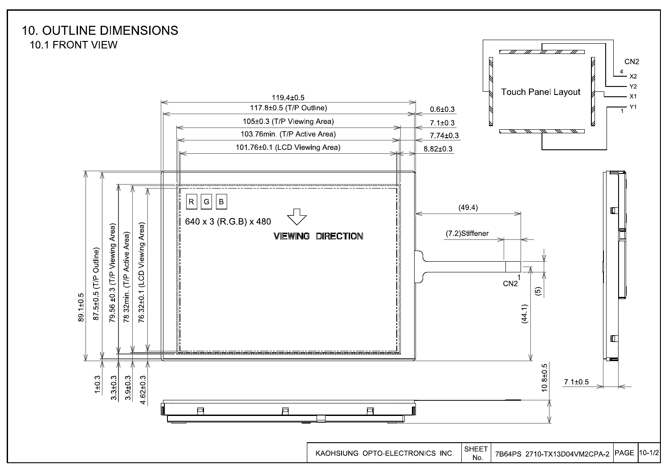

**SHEET** KAOHSIUNG OPTO-ELECTRONICS INC. 7B64PS 2710-TX13D04VM2CPA-2 PAGE 10-1/2 No.

CN<sub>2</sub>

 $x^2$  $Y<sub>2</sub>$ 

 $X<sub>1</sub>$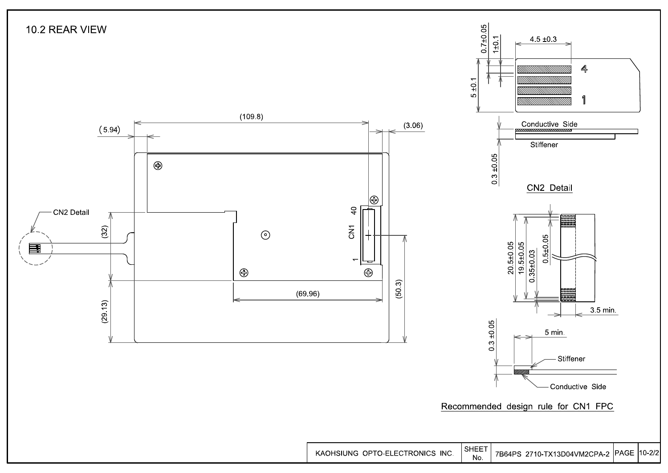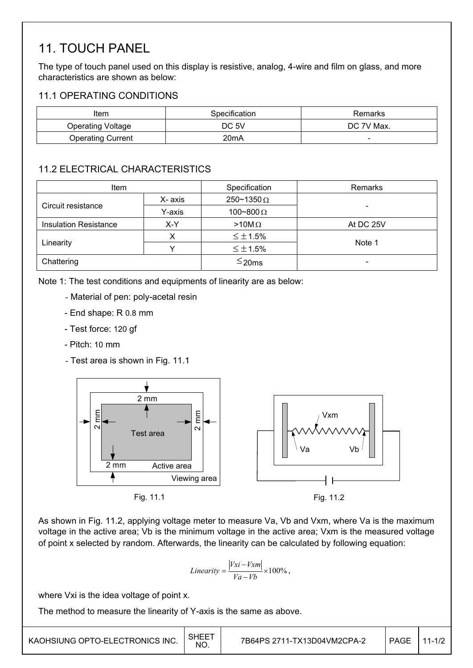# 11. TOUCH PANEL

The type of touch panel used on this display is resistive, analog, 4-wire and film on glass, and more characteristics are shown as below:

## 11.1 OPERATING CONDITIONS

| Item              | Specification     | Remarks    |
|-------------------|-------------------|------------|
| Operating Voltage | DC 5V             | DC 7V Max. |
| Operating Current | 20 <sub>m</sub> A | -          |

## 11.2 ELECTRICAL CHARACTERISTICS

| <b>Item</b>                         |         | Specification            | Remarks                  |
|-------------------------------------|---------|--------------------------|--------------------------|
|                                     | X- axis | $250 \times 1350 \Omega$ |                          |
| Circuit resistance                  | Y-axis  | 100~800 $\Omega$         |                          |
| <b>Insulation Resistance</b><br>X-Y |         | $>10M\Omega$             | At DC 25V                |
|                                     |         | $\leq \pm 1.5\%$         |                          |
| Linearity                           |         | $\leq \pm 1.5\%$         | Note 1                   |
| Chattering                          |         | $\leq$ 20ms              | $\overline{\phantom{0}}$ |

Note 1: The test conditions and equipments of linearity are as below:

- Material of pen: poly-acetal resin
- End shape: R 0.8 mm
- Test force: 120 gf
- Pitch: 10 mm
- Test area is shown in Fig. 11.1





Fig. 11.2

As shown in Fig. 11.2, applying voltage meter to measure Va, Vb and Vxm, where Va is the maximum voltage in the active area; Vb is the minimum voltage in the active area; Vxm is the measured voltage of point x selected by random. Afterwards, the linearity can be calculated by following equation:

$$
Linearity = \frac{|Vxi - Vxm|}{Va - Vb} \times 100\%,
$$

where Vxi is the idea voltage of point x.

The method to measure the linearity of Y-axis is the same as above.

| KAOHSIUNG OPTO-ELECTRONICS INC. | <b>SHEET</b><br>NO. | 7B64PS 2711-TX13D04VM2CPA-2 | PAGE | $11 - 1/2$ |
|---------------------------------|---------------------|-----------------------------|------|------------|
|---------------------------------|---------------------|-----------------------------|------|------------|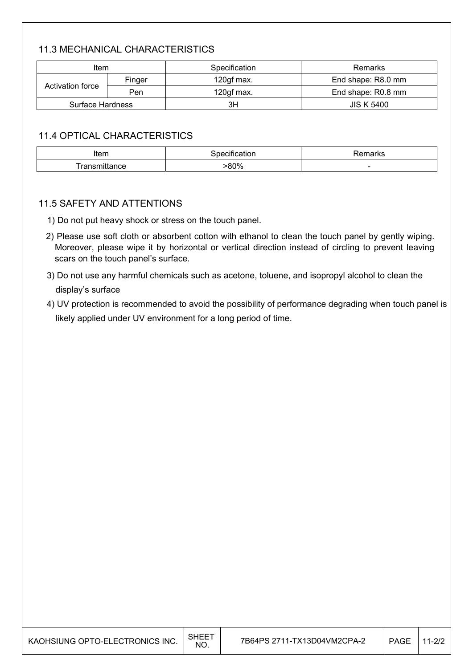## 11.3 MECHANICAL CHARACTERISTICS

| Item             |     | Specification | Remarks            |  |  |
|------------------|-----|---------------|--------------------|--|--|
| Finger           |     | 120gf max.    | End shape: R8.0 mm |  |  |
| Activation force | Pen | 120gf max.    | End shape: R0.8 mm |  |  |
| Surface Hardness |     | ЗH            | <b>JIS K 5400</b>  |  |  |

## 11.4 OPTICAL CHARACTERISTICS

| Item  | cation                   | ----<br>I N.C            |
|-------|--------------------------|--------------------------|
| ance. | $Q \cap 0$<br>ור ז<br>70 | $\overline{\phantom{a}}$ |

### 11.5 SAFETY AND ATTENTIONS

- 1) Do not put heavy shock or stress on the touch panel.
- 2) Please use soft cloth or absorbent cotton with ethanol to clean the touch panel by gently wiping. Moreover, please wipe it by horizontal or vertical direction instead of circling to prevent leaving scars on the touch panel's surface.
- 3) Do not use any harmful chemicals such as acetone, toluene, and isopropyl alcohol to clean the display's surface
- 4) UV protection is recommended to avoid the possibility of performance degrading when touch panel is likely applied under UV environment for a long period of time.

| KAOHSIUNG OPTO-ELECTRONICS INC. | <b>SHEET</b><br>NO. | 7B64PS 2711-TX13D04VM2CPA-2 | <b>PAGE</b> | 1-2/2 |
|---------------------------------|---------------------|-----------------------------|-------------|-------|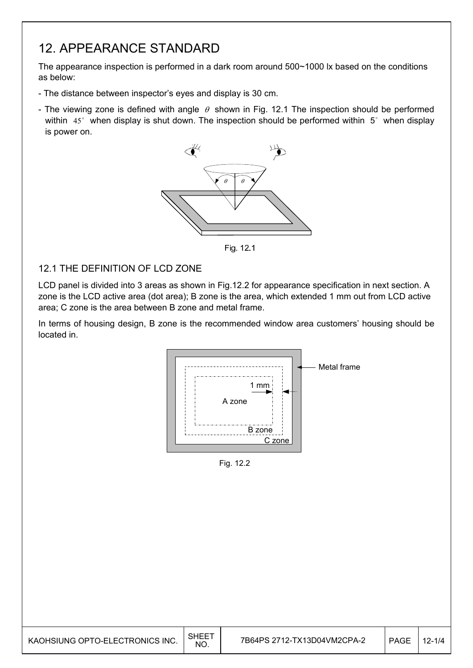# 12. APPEARANCE STANDARD

The appearance inspection is performed in a dark room around 500~1000 lx based on the conditions as below:

- The distance between inspector's eyes and display is 30 cm.
- The viewing zone is defined with angle  $\theta$  shown in Fig. 12.1 The inspection should be performed within  $45^\circ$  when display is shut down. The inspection should be performed within  $5^\circ$  when display is power on.



Fig. 12.1

## 12.1 THE DEFINITION OF LCD ZONE

LCD panel is divided into 3 areas as shown in Fig.12.2 for appearance specification in next section. A zone is the LCD active area (dot area); B zone is the area, which extended 1 mm out from LCD active area; C zone is the area between B zone and metal frame.

In terms of housing design, B zone is the recommended window area customers' housing should be located in.



Fig. 12.2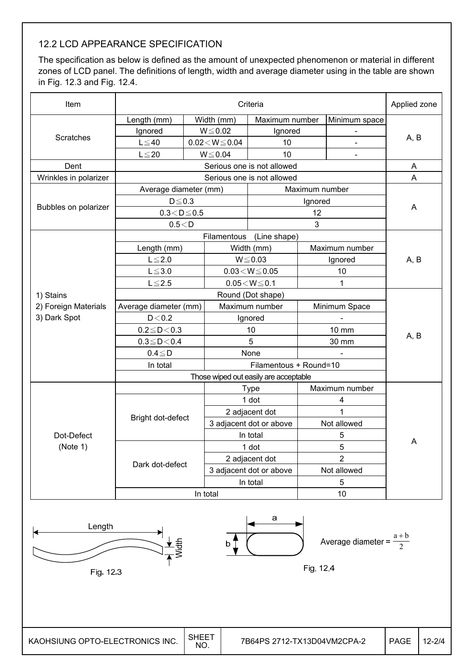## 12.2 LCD APPEARANCE SPECIFICATION

The specification as below is defined as the amount of unexpected phenomenon or material in different zones of LCD panel. The definitions of length, width and average diameter using in the table are shown in Fig. 12.3 and Fig. 12.4.

| Item                  | Criteria              |  |                                       |                            |                |                | Applied zone |  |
|-----------------------|-----------------------|--|---------------------------------------|----------------------------|----------------|----------------|--------------|--|
|                       | Length (mm)           |  | Width (mm)                            | Maximum number             |                | Minimum space  |              |  |
|                       | Ignored               |  | $W \le 0.02$                          | Ignored                    |                |                |              |  |
| Scratches             | $L \leq 40$           |  | $0.02\!<\!W\!\leq\!0.04$              | 10                         |                |                | A, B         |  |
|                       | $L \leq 20$           |  | $W \le 0.04$                          | 10                         |                | ۰              |              |  |
| Dent                  |                       |  |                                       | Serious one is not allowed |                |                | A            |  |
| Wrinkles in polarizer |                       |  |                                       | Serious one is not allowed |                |                | A            |  |
|                       | Average diameter (mm) |  |                                       |                            | Maximum number |                |              |  |
|                       | $D \le 0.3$           |  |                                       |                            | Ignored        |                |              |  |
| Bubbles on polarizer  | $0.3 < D \le 0.5$     |  |                                       |                            | 12             |                | A            |  |
|                       | 0.5 < D               |  |                                       |                            | 3              |                |              |  |
|                       |                       |  | Filamentous                           | (Line shape)               |                |                |              |  |
|                       | Length (mm)           |  |                                       | Width (mm)                 |                | Maximum number |              |  |
|                       | $L \leq 2.0$          |  |                                       | $W \le 0.03$               | Ignored        |                | A, B         |  |
|                       | $L \le 3.0$           |  | $0.03\!<\!W\!\leq\!0.05$              |                            | 10             |                |              |  |
|                       | $L \le 2.5$           |  |                                       | $0.05 < W \le 0.1$         |                | 1              |              |  |
| 1) Stains             |                       |  |                                       | Round (Dot shape)          |                |                |              |  |
| 2) Foreign Materials  | Average diameter (mm) |  | Maximum number                        |                            |                | Minimum Space  |              |  |
| 3) Dark Spot          | D < 0.2               |  | Ignored                               |                            |                |                |              |  |
|                       | $0.2 \le D < 0.3$     |  | 10                                    |                            | 10 mm          |                |              |  |
|                       | $0.3 \le D < 0.4$     |  |                                       | 5                          | 30 mm          |                | A, B         |  |
|                       | $0.4 \leq D$          |  |                                       | None                       |                |                |              |  |
|                       | In total              |  |                                       | Filamentous + Round=10     |                |                |              |  |
|                       |                       |  | Those wiped out easily are acceptable |                            |                |                |              |  |
|                       |                       |  |                                       | <b>Type</b>                |                | Maximum number |              |  |
|                       |                       |  |                                       | 1 dot                      |                | 4              |              |  |
|                       | Bright dot-defect     |  |                                       | 2 adjacent dot             |                | 1              |              |  |
|                       |                       |  |                                       | 3 adjacent dot or above    |                | Not allowed    | Α            |  |
| Dot-Defect            |                       |  |                                       | In total                   |                | 5              |              |  |
| (Note 1)              |                       |  |                                       | 1 dot                      |                | 5              |              |  |
|                       | Dark dot-defect       |  |                                       | 2 adjacent dot             |                | $\overline{2}$ |              |  |
|                       |                       |  |                                       | 3 adjacent dot or above    | Not allowed    |                |              |  |
|                       |                       |  | In total                              |                            | 5              |                |              |  |
|                       |                       |  | In total                              |                            |                | 10             |              |  |

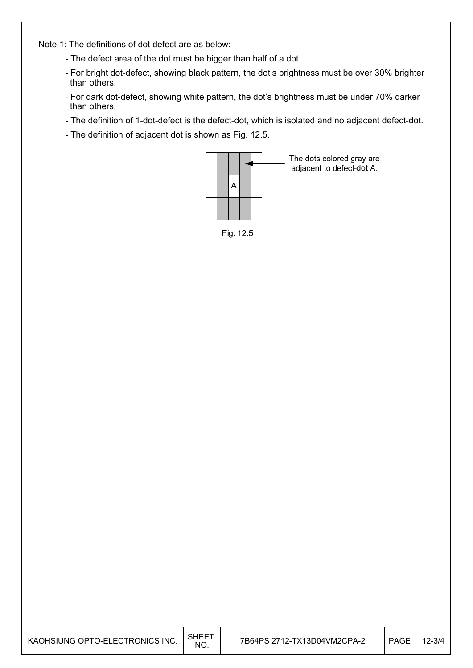Note 1: The definitions of dot defect are as below:

- The defect area of the dot must be bigger than half of a dot.
- For bright dot-defect, showing black pattern, the dot's brightness must be over 30% brighter than others.
- For dark dot-defect, showing white pattern, the dot's brightness must be under 70% darker than others.
- The definition of 1-dot-defect is the defect-dot, which is isolated and no adjacent defect-dot.
- The definition of adjacent dot is shown as Fig. 12.5.



The dots colored gray are adjacent to defect-dot A.

Fig. 12.5

| KAOHSIUNG OPTO-ELECTRONICS INC. | <b>SHEET</b><br>NO. | 7B64PS 2712-TX13D04VM2CPA-2 | <b>PAGE</b> | 12-3/4 |
|---------------------------------|---------------------|-----------------------------|-------------|--------|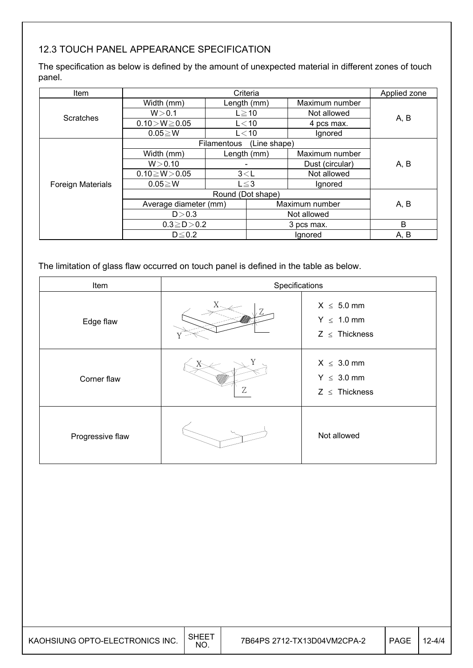# 12.3 TOUCH PANEL APPEARANCE SPECIFICATION

The specification as below is defined by the amount of unexpected material in different zones of touch panel.

| Item                     | Criteria            |                   |              | Applied zone                            |      |      |
|--------------------------|---------------------|-------------------|--------------|-----------------------------------------|------|------|
|                          | Width (mm)          | Length (mm)       |              | Maximum number                          |      |      |
| <b>Scratches</b>         | W > 0.1             | $L \ge 10$        |              | Not allowed                             |      |      |
|                          | $0.10 > W \ge 0.05$ | $L<$ 10           |              | 4 pcs max.                              | A, B |      |
|                          | $0.05 \geq W$       | L < 10            |              | Ignored                                 |      |      |
|                          |                     | Filamentous       | (Line shape) |                                         |      |      |
|                          | Width (mm)          | Length (mm)       |              | Maximum number                          |      |      |
|                          | W > 0.10            |                   |              | Dust (circular)                         | A, B |      |
|                          | $0.10 \ge W > 0.05$ | 3< L              |              | Not allowed                             |      |      |
| <b>Foreign Materials</b> | $0.05 \geq W$       | $L \leq 3$        |              | Ignored                                 |      |      |
|                          | Round (Dot shape)   |                   |              |                                         |      |      |
|                          |                     |                   |              | Average diameter (mm)<br>Maximum number |      | A, B |
|                          | D > 0.3             |                   |              | Not allowed                             |      |      |
|                          |                     | $0.3 \ge D > 0.2$ |              | 3 pcs max.                              | B    |      |
|                          | $D \leq 0.2$        |                   | Ignored      |                                         | A, B |      |

The limitation of glass flaw occurred on touch panel is defined in the table as below.

| Item             | Specifications |                                                          |  |
|------------------|----------------|----------------------------------------------------------|--|
| Edge flaw        |                | $X \leq 5.0$ mm<br>$Y \leq 1.0$ mm<br>$Z \leq$ Thickness |  |
| Corner flaw      | Ζ              | $X \leq 3.0$ mm<br>$Y \leq 3.0$ mm<br>$Z \leq$ Thickness |  |
| Progressive flaw |                | Not allowed                                              |  |

| KAOHSIUNG OPTO-ELECTRONICS INC. | <b>SHEET</b><br>NO. | 7B64PS 2712-TX13D04VM2CPA-2 | <b>PAGE</b> | $12 - 4/4$ |
|---------------------------------|---------------------|-----------------------------|-------------|------------|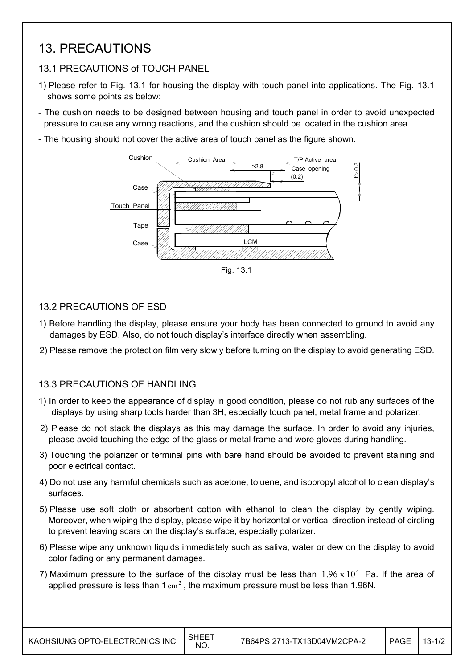# 13. PRECAUTIONS

## 13.1 PRECAUTIONS of TOUCH PANEL

- 1) Please refer to Fig. 13.1 for housing the display with touch panel into applications. The Fig. 13.1 shows some points as below:
- The cushion needs to be designed between housing and touch panel in order to avoid unexpected pressure to cause any wrong reactions, and the cushion should be located in the cushion area.
- The housing should not cover the active area of touch panel as the figure shown.



Fig. 13.1

## 13.2 PRECAUTIONS OF ESD

- 1) Before handling the display, please ensure your body has been connected to ground to avoid any damages by ESD. Also, do not touch display's interface directly when assembling.
- 2) Please remove the protection film very slowly before turning on the display to avoid generating ESD.

## 13.3 PRECAUTIONS OF HANDLING

- 1) In order to keep the appearance of display in good condition, please do not rub any surfaces of the displays by using sharp tools harder than 3H, especially touch panel, metal frame and polarizer.
- 2) Please do not stack the displays as this may damage the surface. In order to avoid any injuries, please avoid touching the edge of the glass or metal frame and wore gloves during handling.
- 3) Touching the polarizer or terminal pins with bare hand should be avoided to prevent staining and poor electrical contact.
- 4) Do not use any harmful chemicals such as acetone, toluene, and isopropyl alcohol to clean display's surfaces.
- 5) Please use soft cloth or absorbent cotton with ethanol to clean the display by gently wiping. Moreover, when wiping the display, please wipe it by horizontal or vertical direction instead of circling to prevent leaving scars on the display's surface, especially polarizer.
- 6) Please wipe any unknown liquids immediately such as saliva, water or dew on the display to avoid color fading or any permanent damages.
- 7) Maximum pressure to the surface of the display must be less than  $1.96 \times 10^4$  Pa. If the area of applied pressure is less than  $1 \text{ cm}^2$ , the maximum pressure must be less than 1.96N.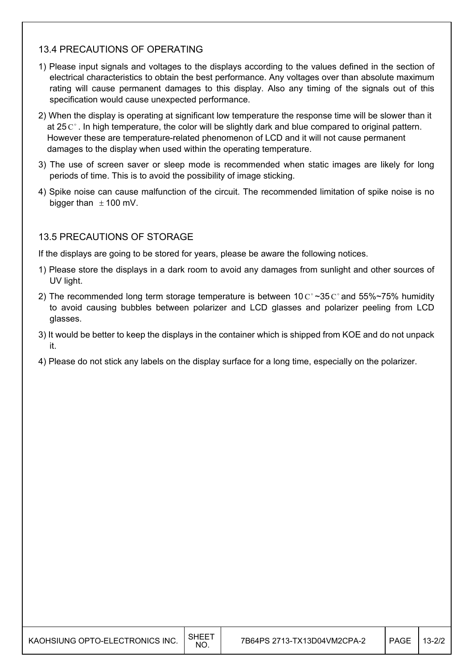## 13.4 PRECAUTIONS OF OPERATING

- 1) Please input signals and voltages to the displays according to the values defined in the section of electrical characteristics to obtain the best performance. Any voltages over than absolute maximum rating will cause permanent damages to this display. Also any timing of the signals out of this specification would cause unexpected performance.
- 2) When the display is operating at significant low temperature the response time will be slower than it at 25  $\mathrm{C}^{\circ}$ . In high temperature, the color will be slightly dark and blue compared to original pattern. However these are temperature-related phenomenon of LCD and it will not cause permanent damages to the display when used within the operating temperature.
- 3) The use of screen saver or sleep mode is recommended when static images are likely for long periods of time. This is to avoid the possibility of image sticking.
- 4) Spike noise can cause malfunction of the circuit. The recommended limitation of spike noise is no bigger than  $\pm$  100 mV.

## 13.5 PRECAUTIONS OF STORAGE

If the displays are going to be stored for years, please be aware the following notices.

- 1) Please store the displays in a dark room to avoid any damages from sunlight and other sources of UV light.
- 2) The recommended long term storage temperature is between 10  $\text{C}^{\circ}$  ~35  $\text{C}^{\circ}$  and 55%~75% humidity to avoid causing bubbles between polarizer and LCD glasses and polarizer peeling from LCD glasses.
- 3) It would be better to keep the displays in the container which is shipped from KOE and do not unpack it.
- 4) Please do not stick any labels on the display surface for a long time, especially on the polarizer.

| KAOHSIUNG OPTO-ELECTRONICS INC. | SHEET<br>NO. | 7B64PS 2713-TX13D04VM2CPA-2 | <b>PAGE</b> | $13 - 2/2$ |
|---------------------------------|--------------|-----------------------------|-------------|------------|
|---------------------------------|--------------|-----------------------------|-------------|------------|